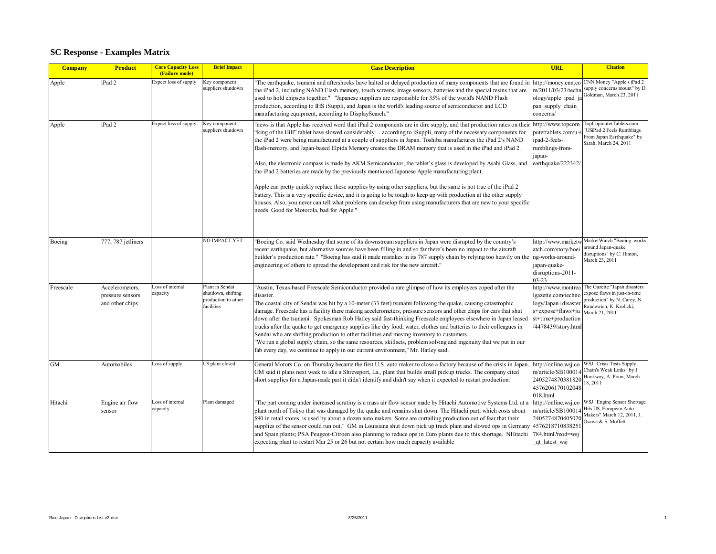## **SC Response - Examples Matrix**

| <b>Company</b> | <b>Product</b>                                         | <b>Core Capacity Loss</b><br>(Failure mode) | <b>Brief Impact</b>                                                        | <b>Case Description</b>                                                                                                                                                                                                                                                                                                                                                                                                                                                                                                                                                                                                                                                                                                                                                                                                                                                                                                                                                                                                                                                                           | <b>URL</b>                                                                                                                      | <b>Citation</b>                                                                                                                          |
|----------------|--------------------------------------------------------|---------------------------------------------|----------------------------------------------------------------------------|---------------------------------------------------------------------------------------------------------------------------------------------------------------------------------------------------------------------------------------------------------------------------------------------------------------------------------------------------------------------------------------------------------------------------------------------------------------------------------------------------------------------------------------------------------------------------------------------------------------------------------------------------------------------------------------------------------------------------------------------------------------------------------------------------------------------------------------------------------------------------------------------------------------------------------------------------------------------------------------------------------------------------------------------------------------------------------------------------|---------------------------------------------------------------------------------------------------------------------------------|------------------------------------------------------------------------------------------------------------------------------------------|
| Apple          | iPad 2                                                 | Expect loss of supply                       | Key component<br>suppliers shutdown                                        | "The earthquake, tsunami and aftershocks have halted or delayed production of many components that are found ir<br>the iPad 2, including NAND Flash memory, touch screens, image sensors, batteries and the special resins that are<br>used to hold chipsets together." "Japanese suppliers are responsible for 35% of the world's NAND Flash<br>production, according to IHS iSuppli, and Japan is the world's leading source of semiconductor and LCD<br>manufacturing equipment, according to DisplaySearch."                                                                                                                                                                                                                                                                                                                                                                                                                                                                                                                                                                                  | http://money.cnn.co<br>m/2011/03/23/techr<br>ology/apple_ipad_ja<br>pan supply chain<br>concerns/                               | CNN Money "Apple's iPad 2<br>supply concerns mount" by D.<br>Goldman, March 23, 2011                                                     |
| Apple          | iPad <sub>2</sub>                                      | Expect loss of supply                       | Key component<br>suppliers shutdown                                        | "news is that Apple has received word that iPad 2 components are in dire supply, and that production rates on their<br>"king of the Hill" tablet have slowed considerably. according to iSuppli, many of the necessary components for<br>the iPad 2 were being manufactured at a couple of suppliers in Japan. Toshiba manufactures the iPad 2's NAND<br>flash-memory, and Japan-based Elpida Memory creates the DRAM memory that is used in the iPad and iPad 2.<br>Also, the electronic compass is made by AKM Semiconductor, the tablet's glass is developed by Asahi Glass, and<br>the iPad 2 batteries are made by the previously mentioned Japanese Apple manufacturing plant.<br>Apple can pretty quickly replace these supplies by using other suppliers, but the same is not true of the iPad 2<br>battery. This is a very specific device, and it is going to be tough to keep up with production at the other supply<br>houses. Also, you never can tell what problems can develop from using manufacturers that are new to your specific<br>needs. Good for Motorola, bad for Apple." | http://www.topcom<br>putertablets.com/u-<br>ipad-2-feels-<br>rumblings-from-<br>apan-<br>earthquake/222342/                     | TopCopmuterTablets.com<br><b>USiPad 2 Feels Rumblings</b><br>From Japan Earthquake" by<br>Sarah, March 24, 2011                          |
| Boeing         | 777, 787 jetliners                                     |                                             | NO IMPACT YET                                                              | "Boeing Co. said Wednesday that some of its downstream suppliers in Japan were disrupted by the country's<br>recent earthquake, but alternative sources have been filling in and so far there's been no impact to the aircraft<br>builder's production rate." "Boeing has said it made mistakes in its 787 supply chain by relying too heavily on the<br>engineering of others to spread the development and risk for the new aircraft."                                                                                                                                                                                                                                                                                                                                                                                                                                                                                                                                                                                                                                                          | http://www.marketw<br>atch.com/story/boei<br>ng-works-around-<br>apan-quake-<br>disruptions-2011-<br>03-23                      | MarketWatch "Boeing works<br>around Japan-quake<br>disruptions" by C. Hinton,<br>March 23, 2011                                          |
| Freescale      | Accelerometers,<br>pressure sensors<br>and other chips | oss of internal<br>capacity                 | Plant in Sendai<br>shutdown, shifting<br>production to other<br>facilities | "Austin, Texas-based Freescale Semiconductor provided a rare glimpse of how its employees coped after the<br>disaster.<br>The coastal city of Sendai was hit by a 10-meter (33 feet) tsunami following the quake, causing catastrophic<br>damage. Freescale has a facility there making accelerometers, pressure sensors and other chips for cars that shut<br>down after the tsunami. Spokesman Rob Hatley said fast-thinking Freescale employees elsewhere in Japan leased<br>trucks after the quake to get emergency supplies like dry food, water, clothes and batteries to their colleagues in<br>Sendai who are shifting production to other facilities and moving inventory to customers.<br>"We run a global supply chain, so the same resources, skillsets, problem solving and ingenuity that we put in our<br>fab every day, we continue to apply in our current environment," Mr. Hatley said.                                                                                                                                                                                        | ittp://www.montrea<br>gazette.com/techno<br>ogy/Japan+disaster<br>s+expose+flaws+ju<br>st+time+production<br>4478439/story.html | The Gazette "Japan disasters<br>expose flaws in just-in-time<br>production" by N. Carey, N.<br>Randewich, K. Krolicki,<br>March 21, 2011 |
| <b>GM</b>      | Automobiles                                            | Loss of supply                              | US plant closed                                                            | General Motors Co. on Thursday became the first U.S. auto maker to close a factory because of the crisis in Japan.<br>GM said it plans next week to idle a Shreveport, La., plant that builds small pickup trucks. The company cited<br>short supplies for a Japan-made part it didn't identify and didn't say when it expected to restart production.                                                                                                                                                                                                                                                                                                                                                                                                                                                                                                                                                                                                                                                                                                                                            | http://online.wsj.co<br>m/article/SB100014<br>2405274870381820<br>4576206170102048<br>018.html                                  | <b>WSJ</b> "Crisis Tests Supply<br>Chain's Weak Links" by J.<br>Hookway, A. Poon, March<br>18, 2011                                      |
| Hitachi        | Engine air flow<br>sensor                              | oss of internal<br>capacity                 | Plant damaged                                                              | "The part coming under increased scrutiny is a mass air flow sensor made by Hitachi Automotive Systems Ltd. at a<br>plant north of Tokyo that was damaged by the quake and remains shut down. The Hitachi part, which costs about<br>\$90 in retail stores, is used by about a dozen auto makers. Some are curtailing production out of fear that their<br>supplies of the sensor could run out." GM in Louisiana shut down pick up truck plant and slowed ops in Germany<br>and Spain plants; PSA Peugeot-Citroen also planning to reduce ops in Euro plants due to this shortage. NHitachi<br>expecting plant to restart Mar 25 or 26 but not certain how much capacity available                                                                                                                                                                                                                                                                                                                                                                                                               | http://online.wsj.co<br>m/article/SB100014<br>2405274870405020<br>4576218710838251<br>784.html?mod=wsj<br>qt latest wsj         | WSJ "Engine Sensor Shortage<br>Hits US, European Auto<br>Makers" March 12, 2011, J.<br>Osawa & S. Moffett                                |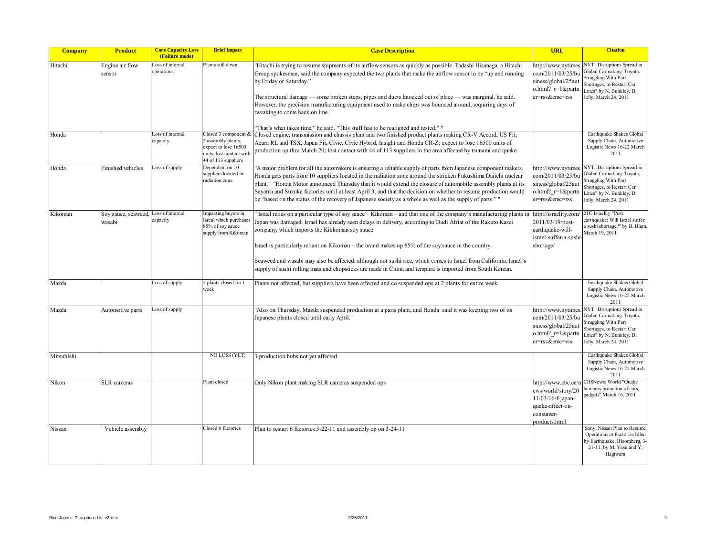| <b>Company</b> | <b>Product</b>                | <b>Core Capacity Loss</b><br>(Failure mode) | <b>Brief Impact</b>                                                                                                   | <b>Case Description</b>                                                                                                                                                                                                                                                                                                                                                                                                                                                                                                                                                                                                   | <b>URL</b>                                                                                                      | <b>Citation</b>                                                                                                                                                          |
|----------------|-------------------------------|---------------------------------------------|-----------------------------------------------------------------------------------------------------------------------|---------------------------------------------------------------------------------------------------------------------------------------------------------------------------------------------------------------------------------------------------------------------------------------------------------------------------------------------------------------------------------------------------------------------------------------------------------------------------------------------------------------------------------------------------------------------------------------------------------------------------|-----------------------------------------------------------------------------------------------------------------|--------------------------------------------------------------------------------------------------------------------------------------------------------------------------|
| Hitachi        | Engine air flow<br>sensor     | oss of internal<br>operations               | Plants still down                                                                                                     | "Hitachi is trying to resume shipments of its airflow sensors as quickly as possible. Tadashi Hisanaga, a Hitachi<br>Group spokesman, said the company expected the two plants that make the airflow sensor to be "up and running"<br>by Friday or Saturday."<br>The structural damage — some broken steps, pipes and ducts knocked out of place — was marginal, he said.<br>However, the precision manufacturing equipment used to make chips was bounced around, requiring days of<br>tweaking to come back on line.<br>"That's what takes time," he said. "This stuff has to be realigned and tested.""                | ittp://www.nytimes<br>com/2011/03/25/bu<br>siness/global/25aut<br>o.html?_r=1&partn<br>er=rss&emc=rss           | NYT "Disruptions Spread in<br>Global Carmaking: Toyota,<br><b>Struggling With Part</b><br>Shortages, to Restart Car<br>Lines" by N. Bunkley, D.<br>Jolly, March 24, 2011 |
| Honda          |                               | Loss of internal<br>capacity                | Closed 3 component &<br>2 assembly plants;<br>expect to lose 16500<br>units; lost contact with<br>44 of 113 suppliers | Closed engine, transmission and chassis plant and two finished product plants making CR-V Accord, US Fit,<br>Acura RL and TSX, Japan Fit, Civic, Civic Hybrid, Insight and Honda CR-Z; expect to lose 16500 units of<br>production up thru March 20; lost contact with 44 of 113 suppliers in the area affected by tsunami and quake                                                                                                                                                                                                                                                                                      |                                                                                                                 | Earthquake Shakes Global<br>Supply Chain, Automotive<br>Logistic News 16-22 March<br>2011                                                                                |
| Honda          | Finished vehicles             | Loss of supply                              | Dependent on 10<br>suppliers located in<br>radiation zone                                                             | "A major problem for all the automakers is ensuring a reliable supply of parts from Japanese component makers.<br>Honda gets parts from 10 suppliers located in the radiation zone around the stricken Fukushima Daiichi nuclear<br>plant." "Honda Motor announced Thursday that it would extend the closure of automobile assembly plants at its<br>Sayama and Suzuka factories until at least April 3, and that the decision on whether to resume production would<br>be "based on the status of the recovery of Japanese society as a whole as well as the supply of parts." "                                         | http://www.nytimes<br>com/2011/03/25/bu<br>siness/global/25aut<br>$ohtml$ ? $r=1$ & partn<br>er=rss&emc=rss     | NYT "Disruptions Spread in<br>Global Carmaking: Toyota,<br><b>Struggling With Part</b><br>Shortages, to Restart Car<br>Lines" by N. Bunkley, D.<br>Jolly, March 24, 2011 |
| Kikoman        | Soy sauce, seaweed.<br>wasabi | Loss of internal<br>capacity                | Impacting buyers in<br>sreal which purchases<br>85% of soy sauce<br>supply from Kikoman                               | Israel relies on a particular type of soy sauce – Kikoman – and that one of the company's manufacturing plants in<br>Japan was damaged. Israel has already seen delays in delivery, according to Dudi Afriat of the Rakuto Kasei<br>company, which imports the Kikkoman soy sauce<br>Israel is particularly reliant on Kikoman – the brand makes up 85% of the soy sauce in the country.<br>Seaweed and wasabi may also be affected, although not sushi rice, which comes to Israel from California. Israel's<br>supply of sushi rolling mats and chopsticks are made in China and tempura is imported from South Korean. | http://israelity.com<br>2011/03/19/post-<br>earthquake-will-<br>israel-suffer-a-sushi<br>shortage/              | 21C Israelity "Post<br>earthquake: Will Israel suffer<br>a sushi shortage?" by B. Blum,<br>March 19, 2011                                                                |
| Mazda          |                               | Loss of supply                              | 2 plants closed for 1<br>week                                                                                         | Plants not affected, but suppliers have been affected and co suspended ops at 2 plants for entire week                                                                                                                                                                                                                                                                                                                                                                                                                                                                                                                    |                                                                                                                 | Earthquake Shakes Global<br>Supply Chain, Automotive<br>Logistic News 16-22 March<br>2011                                                                                |
| Mazda          | Automotive parts              | Loss of supply                              |                                                                                                                       | "Also on Thursday, Mazda suspended production at a parts plant, and Honda said it was keeping two of its<br>Japanese plants closed until early April."                                                                                                                                                                                                                                                                                                                                                                                                                                                                    | ittp://www.nytimes<br>com/2011/03/25/bu<br>siness/global/25aut<br>o.html? r=1&partn<br>er=rss&emc=rss           | NYT "Disruptions Spread in<br>Global Carmaking: Toyota,<br>Struggling With Part<br>Shortages, to Restart Car<br>Lines" by N. Bunkley, D.<br>Jolly, March 24, 2011        |
| Mitsubishi     |                               |                                             | NO LOSS (YET)                                                                                                         | 3 production hubs not yet affected                                                                                                                                                                                                                                                                                                                                                                                                                                                                                                                                                                                        |                                                                                                                 | Earthquake Shakes Global<br>Supply Chain, Automotive<br>Logistic News 16-22 March<br>2011                                                                                |
| Nikon          | <b>SLR</b> cameras            |                                             | Plant closed                                                                                                          | Only Nikon plant making SLR cameras suspended ops                                                                                                                                                                                                                                                                                                                                                                                                                                                                                                                                                                         | ttp://www.cbc.ca/i<br>ews/world/story/20<br>11/03/16/f-japan-<br>quake-affect-on-<br>consumer-<br>products.html | CBSNews: World "Quake<br>hampers prouction of cars,<br>gadgets" March 16, 2011                                                                                           |
| Nissan         | Vehicle assembly              |                                             | Closed 6 factories                                                                                                    | Plan to restart 6 factories 3-22-11 and assembly op on 3-24-11                                                                                                                                                                                                                                                                                                                                                                                                                                                                                                                                                            |                                                                                                                 | Sony, Nissan Plan to Resume<br>Operatoins at Factories Idled<br>by Earthquake, Bloomberg, 3-<br>21-11, by M. Yasu and Y.<br>Hagiwara                                     |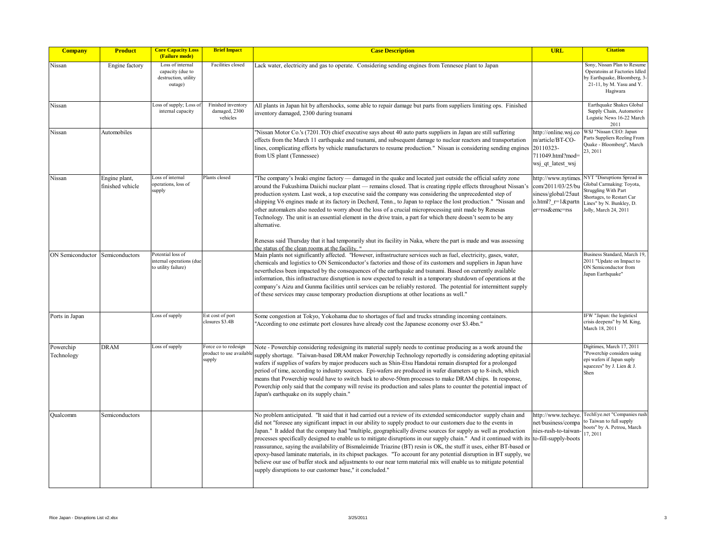| <b>Company</b>          | <b>Product</b>                    | <b>Core Capacity Loss</b><br>(Failure mode)                             | <b>Brief Impact</b>                                        | <b>Case Description</b>                                                                                                                                                                                                                                                                                                                                                                                                                                                                                                                                                                                                                                                                                                                                                                                                                                                                                         | <b>URL</b>                                                                                               | <b>Citation</b>                                                                                                                                                          |
|-------------------------|-----------------------------------|-------------------------------------------------------------------------|------------------------------------------------------------|-----------------------------------------------------------------------------------------------------------------------------------------------------------------------------------------------------------------------------------------------------------------------------------------------------------------------------------------------------------------------------------------------------------------------------------------------------------------------------------------------------------------------------------------------------------------------------------------------------------------------------------------------------------------------------------------------------------------------------------------------------------------------------------------------------------------------------------------------------------------------------------------------------------------|----------------------------------------------------------------------------------------------------------|--------------------------------------------------------------------------------------------------------------------------------------------------------------------------|
| Nissan                  | Engine factory                    | Loss of internal<br>capacity (due to<br>destruction, utility<br>outage) | Facilities closed                                          | Lack water, electricity and gas to operate. Considering sending engines from Tennesee plant to Japan                                                                                                                                                                                                                                                                                                                                                                                                                                                                                                                                                                                                                                                                                                                                                                                                            |                                                                                                          | Sony, Nissan Plan to Resume<br>Operatoins at Factories Idled<br>by Earthquake, Bloomberg, 3-<br>21-11, by M. Yasu and Y.<br>Hagiwara                                     |
| Nissan                  |                                   | oss of supply; Loss o<br>internal capacity                              | Finished inventory<br>damaged, 2300<br>vehicles            | All plants in Japan hit by aftershocks, some able to repair damage but parts from suppliers limiting ops. Finished<br>inventory damaged, 2300 during tsunami                                                                                                                                                                                                                                                                                                                                                                                                                                                                                                                                                                                                                                                                                                                                                    |                                                                                                          | Earthquake Shakes Global<br>Supply Chain, Automotive<br>Logistic News 16-22 March<br>2011                                                                                |
| Nissan                  | Automobiles                       |                                                                         |                                                            | "Nissan Motor Co.'s (7201.TO) chief executive says about 40 auto parts suppliers in Japan are still suffering<br>effects from the March 11 earthquake and tsunami, and subsequent damage to nuclear reactors and transportation<br>lines, complicating efforts by vehicle manufacturers to resume production." Nissan is considering sending engines<br>from US plant (Tennessee)                                                                                                                                                                                                                                                                                                                                                                                                                                                                                                                               | http://online.wsj.co<br>m/article/BT-CO-<br>20110323-<br>711049.html?mod=<br>wsj qt latest wsj           | WSJ "Nissan CEO: Japan<br>Parts Suppliers Reeling From<br>Quake - Bloomberg", March<br>23, 2011                                                                          |
| Nissan                  | Engine plant,<br>finished vehicle | Loss of internal<br>operations, loss of<br>supply                       | Plants closed                                              | The company's Iwaki engine factory — damaged in the quake and located just outside the official safety zone<br>around the Fukushima Daiichi nuclear plant — remains closed. That is creating ripple effects throughout Nissan's<br>production system. Last week, a top executive said the company was considering the unprecedented step of<br>shipping V6 engines made at its factory in Decherd, Tenn., to Japan to replace the lost production." "Nissan and<br>other automakers also needed to worry about the loss of a crucial microprocessing unit made by Renesas<br>Technology. The unit is an essential element in the drive train, a part for which there doesn't seem to be any<br>alternative.<br>Renesas said Thursday that it had temporarily shut its facility in Naka, where the part is made and was assessing<br>the status of the clean rooms at the facility."                             | http://www.nytimes<br>com/2011/03/25/bu<br>siness/global/25aut<br>o.html? $r=1$ &partn<br>er=rss&emc=rss | NYT "Disruptions Spread in<br>Global Carmaking: Toyota,<br><b>Struggling With Part</b><br>Shortages, to Restart Car<br>Lines" by N. Bunkley, D.<br>Jolly, March 24, 2011 |
| ON Semiconductor        | Semiconductors                    | Potential loss of<br>internal operations (due<br>to utility failure)    |                                                            | Main plants not significantly affected. "However, infrastructure services such as fuel, electricity, gases, water,<br>chemicals and logistics to ON Semiconductor's factories and those of its customers and suppliers in Japan have<br>nevertheless been impacted by the consequences of the earthquake and tsunami. Based on currently available<br>information, this infrastructure disruption is now expected to result in a temporary shutdown of operations at the<br>company's Aizu and Gunma facilities until services can be reliably restored. The potential for intermittent supply<br>of these services may cause temporary production disruptions at other locations as well."                                                                                                                                                                                                                     |                                                                                                          | Business Standard, March 19,<br>2011 "Update on Impact to<br>ON Semiconductor from<br>Japan Earthquake"                                                                  |
| Ports in Japan          |                                   | Loss of supply                                                          | Est cost of port<br>closures \$3.4B                        | Some congestion at Tokyo, Yokohama due to shortages of fuel and trucks stranding incoming containers.<br>"According to one estimate port closures have already cost the Japanese economy over \$3.4bn."                                                                                                                                                                                                                                                                                                                                                                                                                                                                                                                                                                                                                                                                                                         |                                                                                                          | IFW "Japan: the logisticsl<br>crisis deepens" by M. King,<br>March 18, 2011                                                                                              |
| Powerchip<br>Technology | <b>DRAM</b>                       | Loss of supply                                                          | Force co to redesign<br>product to use available<br>supply | Note - Powerchip considering redesigning its material supply needs to continue producing as a work around the<br>supply shortage. "Taiwan-based DRAM maker Powerchip Technology reportedly is considering adopting epitaxial<br>wafers if supplies of wafers by major producers such as Shin-Etsu Handotai remain disrupted for a prolonged<br>period of time, according to industry sources. Epi-wafers are produced in wafer diameters up to 8-inch, which<br>means that Powerchip would have to switch back to above-50nm processes to make DRAM chips. In response,<br>Powerchip only said that the company will revise its production and sales plans to counter the potential impact of<br>Japan's earthquake on its supply chain."                                                                                                                                                                       |                                                                                                          | Digitimes, March 17, 2011<br>"Powerchip considers using<br>epi wafers if Japan suply<br>squeezes" by J. Lien & J.<br>Shen                                                |
| Oualcomm                | Semiconductors                    |                                                                         |                                                            | No problem anticipated. "It said that it had carried out a review of its extended semiconductor supply chain and<br>did not "foresee any significant impact in our ability to supply product to our customers due to the events in<br>Japan." It added that the company had "multiple, geographically diverse sources for supply as well as production<br>processes specifically designed to enable us to mitigate disruptions in our supply chain." And it continued with its<br>reassurance, saying the availability of Bismaleimide Triazine (BT) resin is OK, the stuff it uses, either BT-based or<br>epoxy-based laminate materials, in its chipset packages. "To account for any potential disruption in BT supply, we<br>believe our use of buffer stock and adjustments to our near term material mix will enable us to mitigate potential<br>supply disruptions to our customer base," it concluded." | http://www.techeve.<br>net/business/compa<br>nies-rush-to-taiwan-<br>to-fill-supply-boots                | TechEye.net "Companies rush<br>to Taiwan to full supply<br>boots" by A. Petrou, March<br>17, 2011                                                                        |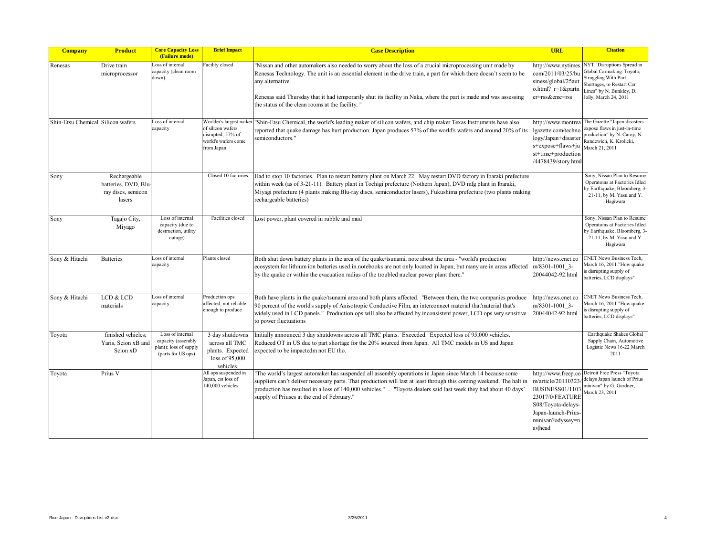| <b>Company</b>                    | <b>Product</b>                                                       | <b>Core Capacity Loss</b><br>(Failure mode)                                            | <b>Brief Impact</b>                                                                                   | <b>Case Description</b>                                                                                                                                                                                                                                                                                                                                                                                                       | <b>URL</b>                                                                                                                                                  | <b>Citation</b>                                                                                                                                                   |
|-----------------------------------|----------------------------------------------------------------------|----------------------------------------------------------------------------------------|-------------------------------------------------------------------------------------------------------|-------------------------------------------------------------------------------------------------------------------------------------------------------------------------------------------------------------------------------------------------------------------------------------------------------------------------------------------------------------------------------------------------------------------------------|-------------------------------------------------------------------------------------------------------------------------------------------------------------|-------------------------------------------------------------------------------------------------------------------------------------------------------------------|
| Renesas                           | Drive train<br>microprocessor                                        | Loss of internal<br>capacity (clean room<br>down)                                      | acility closed                                                                                        | "Nissan and other automakers also needed to worry about the loss of a crucial microprocessing unit made by<br>Renesas Technology. The unit is an essential element in the drive train, a part for which there doesn't seem to be<br>any alternative.<br>Renesas said Thursday that it had temporarily shut its facility in Naka, where the part is made and was assessing<br>the status of the clean rooms at the facility. " | http://www.nytimes<br>com/2011/03/25/bu<br>siness/global/25aut<br>o.html? $r=1$ & partn<br>er=rss&emc=rss                                                   | NYT "Disruptions Spread in<br>Global Carmaking: Toyota,<br>Struggling With Part<br>Shortages, to Restart Car<br>Lines" by N. Bunkley, D.<br>Jolly, March 24, 2011 |
| Shin-Etsu Chemical Silicon wafers |                                                                      | Loss of internal<br>capacity                                                           | Worlder's largest make<br>of silicon wafers<br>disrupted; 57% of<br>world's wafers come<br>from Japan | "Shin-Etsu Chemical, the world's leading maker of silicon wafers, and chip maker Texas Instruments have also<br>reported that quake damage has hurt production. Japan produces 57% of the world's wafers and around 20% of its<br>semiconductors."                                                                                                                                                                            | http://www.montrea<br>lgazette.com/techno<br>logy/Japan+disaster<br>s+expose+flaws+ju<br>st+time+production<br>/4478439/story.html                          | The Gazette "Japan disasters<br>expose flaws in just-in-time<br>production" by N. Carey, N.<br>Randewich, K. Krolicki,<br>March 21, 2011                          |
| Sony                              | Rechargeable<br>batteries, DVD, Blu-<br>ray discs, semicon<br>lasers |                                                                                        | Closed 10 factories                                                                                   | Had to stop 10 factories. Plan to restart battery plant on March 22. May restart DVD factory in Ibaraki prefecture<br>within week (as of 3-21-11). Battery plant in Tochigi prefecture (Nothern Japan), DVD mfg plant in Ibaraki,<br>Miyagi prefecture (4 plants making Blu-ray discs, semiconductor lasers), Fukushima prefecture (two plants making<br>rechargeable batteries)                                              |                                                                                                                                                             | Sony, Nissan Plan to Resume<br>Operatoins at Factories Idled<br>by Earthquake, Bloomberg, 3-<br>21-11, by M. Yasu and Y.<br>Hagiwara                              |
| Sony                              | Tagajo City,<br>Miyago                                               | Loss of internal<br>capacity (due to<br>destruction, utility<br>outage)                | Facilities closed                                                                                     | Lost power, plant covered in rubble and mud                                                                                                                                                                                                                                                                                                                                                                                   |                                                                                                                                                             | Sony, Nissan Plan to Resume<br>Operatoins at Factories Idled<br>by Earthquake, Bloomberg, 3-<br>21-11, by M. Yasu and Y.<br>Hagiwara                              |
| Sony & Hitachi                    | <b>Batteries</b>                                                     | Loss of internal<br>capacity                                                           | Plants closed                                                                                         | Both shut down battery plants in the area of the quake/tsunami, note about the area - "world's production"<br>ecosystem for lithium ion batteries used in notebooks are not only located in Japan, but many are in areas affected<br>by the quake or within the evacuation radius of the troubled nuclear power plant there."                                                                                                 | http://news.cnet.co<br>m/8301-1001 3-<br>20044042-92.html                                                                                                   | <b>CNET News Business Tech,</b><br>March 16, 2011 "How quake<br>is disrupting supply of<br>batteries, LCD displays"                                               |
| Sony & Hitachi                    | LCD & LCD<br>materials                                               | Loss of internal<br>capacity                                                           | Production ops<br>affected, not reliable<br>enough to produce                                         | Both have plants in the quake/tsunami area and both plants affected. "Between them, the two companies produce<br>90 percent of the world's supply of Anisotropic Conductive Film, an interconnect material that'material that's<br>widely used in LCD panels." Production ops will also be affected by inconsistent power, LCD ops very sensitive<br>to power fluctuations                                                    | http://news.cnet.co<br>m/8301-1001 3-<br>20044042-92.html                                                                                                   | <b>CNET News Business Tech,</b><br>March 16, 2011 "How quake<br>is disrupting supply of<br>batteries, LCD displays"                                               |
| Toyota                            | finished vehicles;<br>Yaris, Scion xB and<br>Scion xD                | Loss of internal<br>capacity (assembly<br>plant); loss of supply<br>(parts for US ops) | 3 day shutdowns<br>across all TMC<br>plants. Expected<br>loss of 95,000<br>vehicles.                  | Initially announced 3 day shutdowns across all TMC plants. Exceeded. Expected loss of 95,000 vehicles.<br>Reduced OT in US due to part shortage for the 20% sourced from Japan. All TMC models in US and Japan<br>expected to be impactedm not EU tho.                                                                                                                                                                        |                                                                                                                                                             | Earthquake Shakes Global<br>Supply Chain, Automotive<br>Logistic News 16-22 March<br>2011                                                                         |
| Toyota                            | Prius V                                                              |                                                                                        | All ops suspended in<br>Japan, est loss of<br>140,000 vehicles                                        | The world's largest automaker has suspended all assembly operations in Japan since March 14 because some<br>suppliers can't deliver necessary parts. That production will last at least through this coming weekend. The halt in<br>production has resulted in a loss of 140,000 vehicles."  "Toyota dealers said last week they had about 40 days'<br>supply of Priuses at the end of February."                             | http://www.freep.co<br>m/article/20110323<br>BUSINESS01/1103<br>23017/0/FEATURE<br>S08/Toyota-delays-<br>Japan-launch-Prius-<br>minivan?odyssey=n<br>avhead | Detroit Free Press "Toyota<br>delays Japan launch of Prius<br>minivan" by G. Gardner,<br>March 23, 2011                                                           |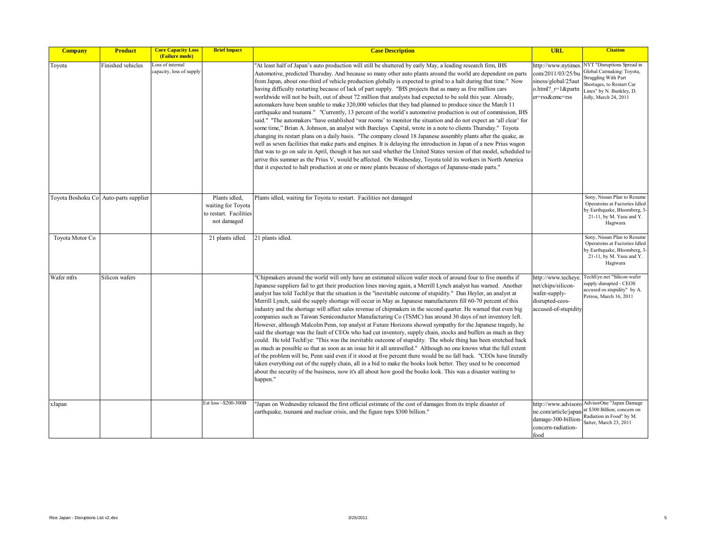| <b>Company</b>  | <b>Product</b>                        | <b>Core Capacity Loss</b><br>(Failure mode)  | <b>Brief Impact</b>                                                          | <b>Case Description</b>                                                                                                                                                                                                                                                                                                                                                                                                                                                                                                                                                                                                                                                                                                                                                                                                                                                                                                                                                                                                                                                                                                                                                                                                                                                                                                                                                                                                                                                                                                                                                                                                                                | <b>URL</b>                                                                                               | <b>Citation</b>                                                                                                                                                   |
|-----------------|---------------------------------------|----------------------------------------------|------------------------------------------------------------------------------|--------------------------------------------------------------------------------------------------------------------------------------------------------------------------------------------------------------------------------------------------------------------------------------------------------------------------------------------------------------------------------------------------------------------------------------------------------------------------------------------------------------------------------------------------------------------------------------------------------------------------------------------------------------------------------------------------------------------------------------------------------------------------------------------------------------------------------------------------------------------------------------------------------------------------------------------------------------------------------------------------------------------------------------------------------------------------------------------------------------------------------------------------------------------------------------------------------------------------------------------------------------------------------------------------------------------------------------------------------------------------------------------------------------------------------------------------------------------------------------------------------------------------------------------------------------------------------------------------------------------------------------------------------|----------------------------------------------------------------------------------------------------------|-------------------------------------------------------------------------------------------------------------------------------------------------------------------|
| Toyota          | Finished vehicles                     | Loss of internal<br>capacity, loss of supply |                                                                              | "At least half of Japan's auto production will still be shuttered by early May, a leading research firm, IHS<br>Automotive, predicted Thursday. And because so many other auto plants around the world are dependent on parts<br>from Japan, about one-third of vehicle production globally is expected to grind to a halt during that time." Now<br>having difficulty restarting because of lack of part supply. "IHS projects that as many as five million cars<br>worldwide will not be built, out of about 72 million that analysts had expected to be sold this year. Already,<br>automakers have been unable to make 320,000 vehicles that they had planned to produce since the March 11<br>earthquake and tsunami." "Currently, 13 percent of the world's automotive production is out of commission, IHS<br>said." "The automakers "have established 'war rooms' to monitor the situation and do not expect an 'all clear' for<br>some time," Brian A. Johnson, an analyst with Barclays Capital, wrote in a note to clients Thursday." Toyota<br>changing its restart plans on a daily basis. "The company closed 18 Japanese assembly plants after the quake, as<br>well as seven facilities that make parts and engines. It is delaying the introduction in Japan of a new Prius wagon<br>that was to go on sale in April, though it has not said whether the United States version of that model, scheduled to<br>arrive this summer as the Prius V, would be affected. On Wednesday, Toyota told its workers in North America<br>that it expected to halt production at one or more plants because of shortages of Japanese-made parts." | http://www.nytime<br>com/2011/03/25/bu<br>siness/global/25aut<br>o.html? $r=1$ & partn<br>er=rss&emc=rss | NYT "Disruptions Spread in<br>Global Carmaking: Toyota,<br>Struggling With Part<br>Shortages, to Restart Car<br>Lines" by N. Bunkley, D.<br>Jolly, March 24, 2011 |
|                 | Toyota Boshoku Co Auto-parts supplier |                                              | Plants idled,<br>waiting for Toyota<br>to restart. Facilities<br>not damaged | Plants idled, waiting for Toyota to restart. Facilities not damaged                                                                                                                                                                                                                                                                                                                                                                                                                                                                                                                                                                                                                                                                                                                                                                                                                                                                                                                                                                                                                                                                                                                                                                                                                                                                                                                                                                                                                                                                                                                                                                                    |                                                                                                          | Sony, Nissan Plan to Resume<br>Operatoins at Factories Idled<br>by Earthquake, Bloomberg, 3-<br>21-11, by M. Yasu and Y.<br>Hagiwara                              |
| Toyota Motor Co |                                       |                                              | 21 plants idled.                                                             | 21 plants idled.                                                                                                                                                                                                                                                                                                                                                                                                                                                                                                                                                                                                                                                                                                                                                                                                                                                                                                                                                                                                                                                                                                                                                                                                                                                                                                                                                                                                                                                                                                                                                                                                                                       |                                                                                                          | Sony, Nissan Plan to Resume<br>Operatoins at Factories Idled<br>by Earthquake, Bloomberg, 3-<br>21-11, by M. Yasu and Y.<br>Hagiwara                              |
| Wafer mfrs      | Silicon wafers                        |                                              |                                                                              | "Chipmakers around the world will only have an estimated silicon wafer stock of around four to five months if<br>Japanese suppliers fail to get their production lines moving again, a Merrill Lynch analyst has warned. Another<br>analyst has told TechEye that the situation is the "inevitable outcome of stupidity." Dan Heyler, an analyst at<br>Merrill Lynch, said the supply shortage will occur in May as Japanese manufacturers fill 60-70 percent of this<br>industry and the shortage will affect sales revenue of chipmakers in the second quarter. He warned that even big<br>companies such as Taiwan Semiconductor Manufacturing Co (TSMC) has around 30 days of net inventory left.<br>However, although Malcolm Penn, top analyst at Future Horizons showed sympathy for the Japanese tragedy, he<br>said the shortage was the fault of CEOs who had cut inventory, supply chain, stocks and buffers as much as they<br>could. He told TechEye: "This was the inevitable outcome of stupidity. The whole thing has been stretched back<br>as much as possible so that as soon as an issue hit it all unravelled." Although no one knows what the full extent<br>of the problem will be, Penn said even if it stood at five percent there would be no fall back. "CEOs have literally<br>taken everything out of the supply chain, all in a bid to make the books look better. They used to be concerned<br>about the security of the business, now it's all about how good the books look. This was a disaster waiting to<br>happen."                                                                                               | http://www.techeye<br>net/chips/silicon-<br>wafer-supply-<br>disrupted-ceos-<br>accused-of-stupidity     | TechEye.net "Silicon wafer<br>supply disrupted - CEOS<br>accused os stupidity" by A.<br>Petrou, March 16, 2011                                                    |
| xJapan          |                                       |                                              | Est loss ~\$200-300B                                                         | "Japan on Wednesday released the first official estimate of the cost of damages from its triple disaster of<br>earthquake, tsunami and nuclear crisis, and the figure tops \$300 billion."                                                                                                                                                                                                                                                                                                                                                                                                                                                                                                                                                                                                                                                                                                                                                                                                                                                                                                                                                                                                                                                                                                                                                                                                                                                                                                                                                                                                                                                             | damage-300-billion-<br>concern-radiation-<br>food                                                        | http://www.advisoro AdvisorOne "Japan Damage<br>ne.com/article/japan.at \$300 Billion; concern on<br>Radiation in Food" by M.<br>Satter, March 23, 2011           |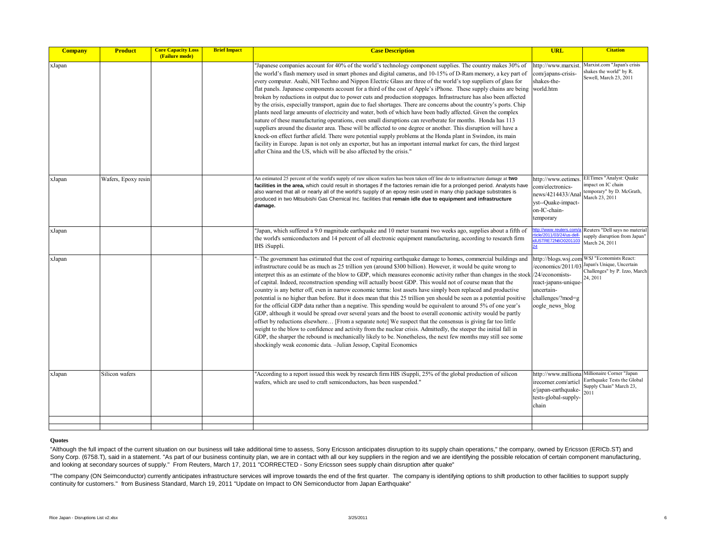| <b>Company</b> | <b>Product</b>      | <b>Core Capacity Loss</b><br>(Failure mode) | <b>Brief Impact</b> | <b>Case Description</b>                                                                                                                                                                                                                                                                                                                                                                                                                                                                                                                                                                                                                                                                                                                                                                                                                                                                                                                                                                                                                                                                                                                                                                                                                                                                                                                                                           | <b>URL</b>                                                                                                                                 | <b>Citation</b>                                                                                                 |
|----------------|---------------------|---------------------------------------------|---------------------|-----------------------------------------------------------------------------------------------------------------------------------------------------------------------------------------------------------------------------------------------------------------------------------------------------------------------------------------------------------------------------------------------------------------------------------------------------------------------------------------------------------------------------------------------------------------------------------------------------------------------------------------------------------------------------------------------------------------------------------------------------------------------------------------------------------------------------------------------------------------------------------------------------------------------------------------------------------------------------------------------------------------------------------------------------------------------------------------------------------------------------------------------------------------------------------------------------------------------------------------------------------------------------------------------------------------------------------------------------------------------------------|--------------------------------------------------------------------------------------------------------------------------------------------|-----------------------------------------------------------------------------------------------------------------|
| xJapan         |                     |                                             |                     | Japanese companies account for 40% of the world's technology component supplies. The country makes 30% of<br>the world's flash memory used in smart phones and digital cameras, and 10-15% of D-Ram memory, a key part of<br>every computer. Asahi, NH Techno and Nippon Electric Glass are three of the world's top suppliers of glass for<br>flat panels. Japanese components account for a third of the cost of Apple's iPhone. These supply chains are being<br>broken by reductions in output due to power cuts and production stoppages. Infrastructure has also been affected<br>by the crisis, especially transport, again due to fuel shortages. There are concerns about the country's ports. Chip<br>plants need large amounts of electricity and water, both of which have been badly affected. Given the complex<br>nature of these manufacturing operations, even small disruptions can reverberate for months. Honda has 113<br>suppliers around the disaster area. These will be affected to one degree or another. This disruption will have a<br>knock-on effect further affeld. There were potential supply problems at the Honda plant in Swindon, its main<br>facility in Europe. Japan is not only an exporter, but has an important internal market for cars, the third largest<br>after China and the US, which will be also affected by the crisis."     | http://www.marxist<br>com/japans-crisis-<br>shakes-the-<br>world.htm                                                                       | Marxist.com "Japan's crisis<br>shakes the world" by R.<br>Sewell, March 23, 2011                                |
| <b>d</b> apan  | Wafers, Epoxy resin |                                             |                     | An estimated 25 percent of the world's supply of raw silicon wafers has been taken off line do to infrastructure damage at two<br>facilities in the area, which could result in shortages if the factories remain idle for a prolonged period. Analysts have<br>also warned that all or nearly all of the world's supply of an epoxy resin used in many chip package substrates is<br>produced in two Mitsubishi Gas Chemical Inc. facilities that remain idle due to equipment and infrastructure<br>damage.                                                                                                                                                                                                                                                                                                                                                                                                                                                                                                                                                                                                                                                                                                                                                                                                                                                                     | http://www.eetimes.<br>com/electronics-<br>news/4214433/Anal<br>yst--Quake-impact-<br>on-IC-chain-<br>temporary                            | EETimes "Analyst: Quake<br>mpact on IC chain<br>temporary" by D. McGrath,<br>March 23, 2011                     |
| xJapan         |                     |                                             |                     | "Japan, which suffered a 9.0 magnitude earthquake and 10 meter tsunami two weeks ago, supplies about a fifth of<br>the world's semiconductors and 14 percent of all electronic equipment manufacturing, according to research firm<br>IHS iSuppli.                                                                                                                                                                                                                                                                                                                                                                                                                                                                                                                                                                                                                                                                                                                                                                                                                                                                                                                                                                                                                                                                                                                                | ttp://www.reuters.com/<br>icle/2011/03/24/us-dell-<br>IUSTRE72N6O0201103                                                                   | Reuters "Dell says no material<br>supply disruption from Japan"<br>March 24, 2011                               |
| xJapan         |                     |                                             |                     | "-The government has estimated that the cost of repairing earthquake damage to homes, commercial buildings and<br>infrastructure could be as much as 25 trillion yen (around \$300 billion). However, it would be quite wrong to<br>interpret this as an estimate of the blow to GDP, which measures economic activity rather than changes in the stock<br>of capital. Indeed, reconstruction spending will actually boost GDP. This would not of course mean that the<br>country is any better off, even in narrow economic terms: lost assets have simply been replaced and productive<br>potential is no higher than before. But it does mean that this 25 trillion yen should be seen as a potential positive<br>for the official GDP data rather than a negative. This spending would be equivalent to around 5% of one year's<br>GDP, although it would be spread over several years and the boost to overall economic activity would be partly<br>offset by reductions elsewhere [From a separate note] We suspect that the consensus is giving far too little<br>weight to the blow to confidence and activity from the nuclear crisis. Admittedly, the steeper the initial fall in<br>GDP, the sharper the rebound is mechanically likely to be. Nonetheless, the next few months may still see some<br>shockingly weak economic data. -Julian Jessop, Capital Economics | http://blogs.wsj.com<br>/economics/2011/03<br>/24/economists-<br>react-japans-unique<br>uncertain-<br>challenges/?mod=g<br>oogle news blog | WSJ "Economists React:<br>Japan's Unique, Uncertain<br>Challenges" by P. Izzo, March<br>24, 2011                |
| xJapan         | Silicon wafers      |                                             |                     | "According to a report issued this week by research firm HIS iSuppli, 25% of the global production of silicon<br>wafers, which are used to craft semiconductors, has been suspended."                                                                                                                                                                                                                                                                                                                                                                                                                                                                                                                                                                                                                                                                                                                                                                                                                                                                                                                                                                                                                                                                                                                                                                                             | irecorner.com/articl<br>e/japan-earthquake-<br>tests-global-supply-<br>chain                                                               | http://www.milliona Millionaire Corner "Japan<br>Earthquake Tests the Global<br>Supply Chain" March 23,<br>2011 |
|                |                     |                                             |                     |                                                                                                                                                                                                                                                                                                                                                                                                                                                                                                                                                                                                                                                                                                                                                                                                                                                                                                                                                                                                                                                                                                                                                                                                                                                                                                                                                                                   |                                                                                                                                            |                                                                                                                 |

## **Quotes**

"Although the full impact of the current situation on our business will take additional time to assess, Sony Ericsson anticipates disruption to its supply chain operations," the company, owned by Ericsson (ERICb.ST) and Sony Corp. (6758.T), said in a statement. "As part of our business continuity plan, we are in contact with all our key suppliers in the region and we are identifying the possible relocation of certain component manufacturi and looking at secondary sources of supply." From Reuters, March 17, 2011 "CORRECTED - Sony Ericsson sees supply chain disruption after quake"

"The company (ON Seimconductor) currently anticipates infrastructure services will improve towards the end of the first quarter. The company is identifying options to shift production to other facilities to support supply continuity for customers." from Business Standard, March 19, 2011 "Update on Impact to ON Semiconductor from Japan Earthquake"